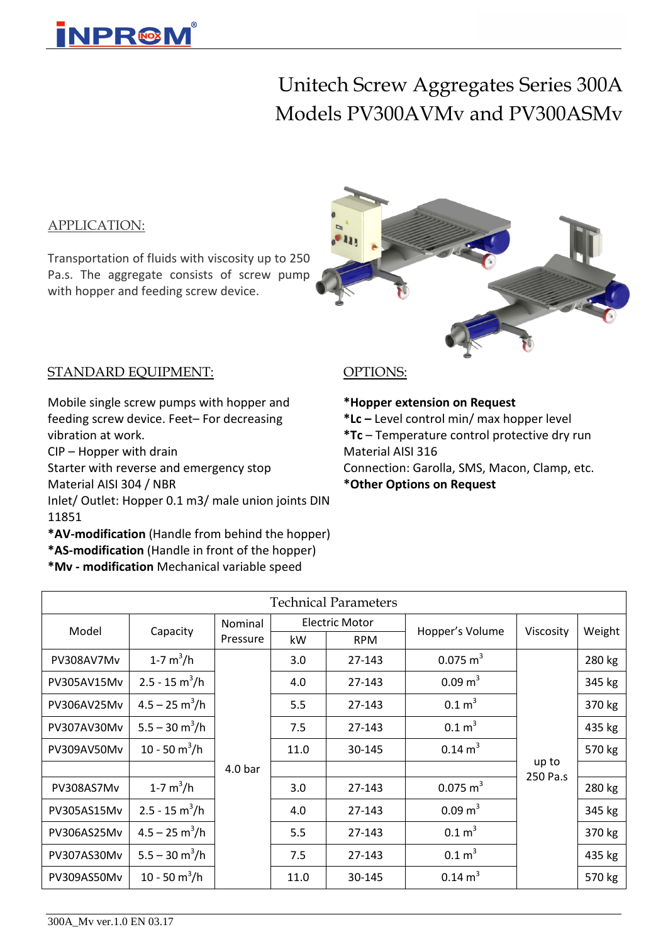

## Unitech Screw Aggregates Series 300A Models PV300AVMv and PV300ASMv

#### APPLICATION:

Transportation of fluids with viscosity up to 250 Pa.s. The aggregate consists of screw pump with hopper and feeding screw device.



#### STANDARD EQUIPMENT:

Mobile single screw pumps with hopper and feeding screw device. Feet– For decreasing vibration at work.

CIP – Hopper with drain

Starter with reverse and emergency stop

Material AISI 304 / NBR

Inlet/ Outlet: Hopper 0.1 m3/ male union joints DIN 11851

**\*AV-modification** (Handle from behind the hopper)

**\*AS-modification** (Handle in front of the hopper)

**\*Mv - modification** Mechanical variable speed

#### OPTIONS:

**\*Hopper extension on Request**

**\*Lc –** Level control min/ max hopper level

**\*Tc** – Temperature control protective dry run Material AISI 316

Connection: Garolla, SMS, Macon, Clamp, etc.

**\*Other Options on Request**

| <b>Technical Parameters</b> |                                 |                    |      |                       |                     |                   |        |  |  |
|-----------------------------|---------------------------------|--------------------|------|-----------------------|---------------------|-------------------|--------|--|--|
| Model                       | Capacity                        | Nominal            |      | <b>Electric Motor</b> | Hopper's Volume     | Viscosity         | Weight |  |  |
|                             |                                 | Pressure           | kW   | <b>RPM</b>            |                     |                   |        |  |  |
| PV308AV7Mv                  | 1-7 $m^3/h$                     |                    | 3.0  | 27-143                | $0.075 \text{ m}^3$ |                   | 280 kg |  |  |
| PV305AV15Mv                 | $2.5 - 15 \text{ m}^3/\text{h}$ |                    | 4.0  | 27-143                | $0.09 \text{ m}^3$  |                   | 345 kg |  |  |
| PV306AV25Mv                 | $4.5 - 25$ m <sup>3</sup> /h    |                    | 5.5  | 27-143                | $0.1 \text{ m}^3$   |                   | 370 kg |  |  |
| PV307AV30Mv                 | $5.5 - 30 \text{ m}^3/\text{h}$ |                    | 7.5  | 27-143                | 0.1 m <sup>3</sup>  |                   | 435 kg |  |  |
| PV309AV50Mv                 | 10 - 50 $m^3/h$                 |                    | 11.0 | 30-145                | $0.14 \text{ m}^3$  |                   | 570 kg |  |  |
|                             |                                 | 4.0 <sub>bar</sub> |      |                       |                     | up to<br>250 Pa.s |        |  |  |
| PV308AS7Mv                  | 1-7 $m^3/h$                     |                    | 3.0  | 27-143                | $0.075 \text{ m}^3$ |                   | 280 kg |  |  |
| PV305AS15Mv                 | $2.5 - 15 \text{ m}^3/\text{h}$ |                    | 4.0  | 27-143                | $0.09 \text{ m}^3$  |                   | 345 kg |  |  |
| PV306AS25Mv                 | $4.5 - 25$ m <sup>3</sup> /h    |                    | 5.5  | 27-143                | 0.1 m <sup>3</sup>  |                   | 370 kg |  |  |
| PV307AS30Mv                 | $5.5 - 30 \text{ m}^3/\text{h}$ |                    | 7.5  | 27-143                | 0.1 m <sup>3</sup>  |                   | 435 kg |  |  |
| PV309AS50Mv                 | 10 - 50 $m^3/h$                 |                    | 11.0 | 30-145                | $0.14 \text{ m}^3$  |                   | 570 kg |  |  |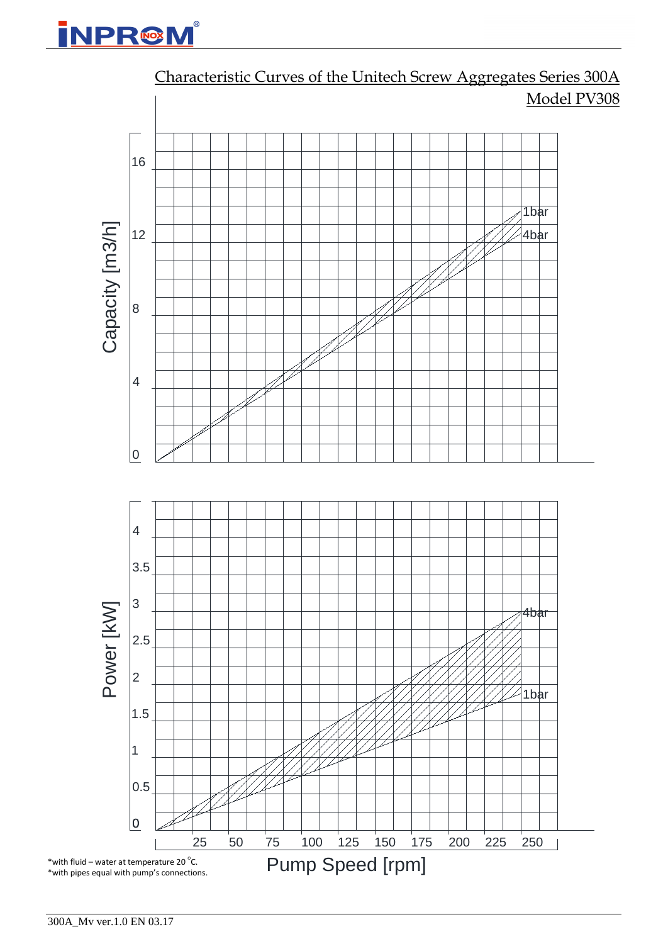## **INPR@M**



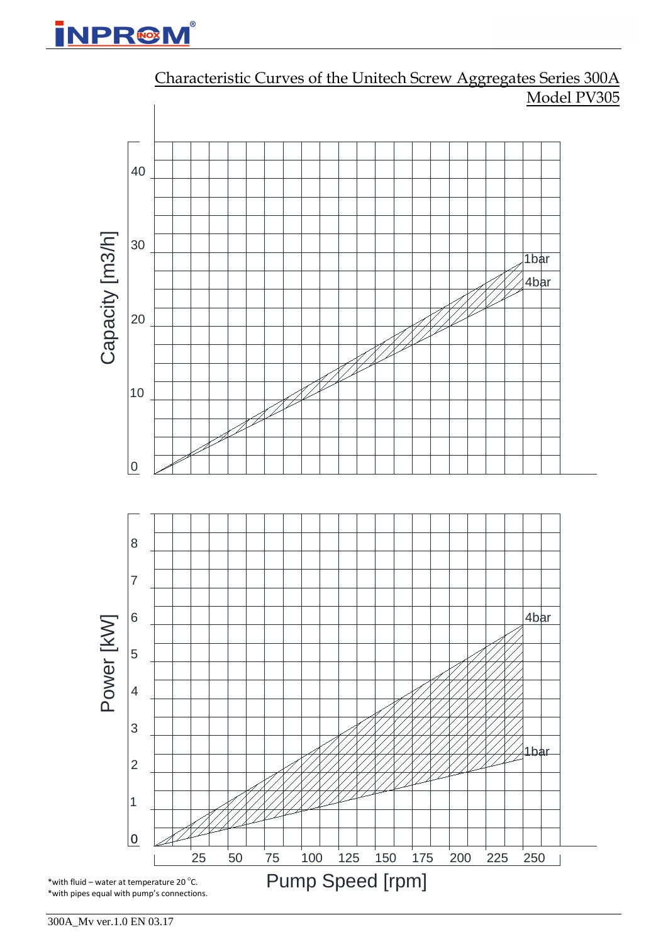



### Characteristic Curves of the Unitech Screw Aggregates Series 300A Model PV305

300A\_Mv ver.1.0 EN 03.17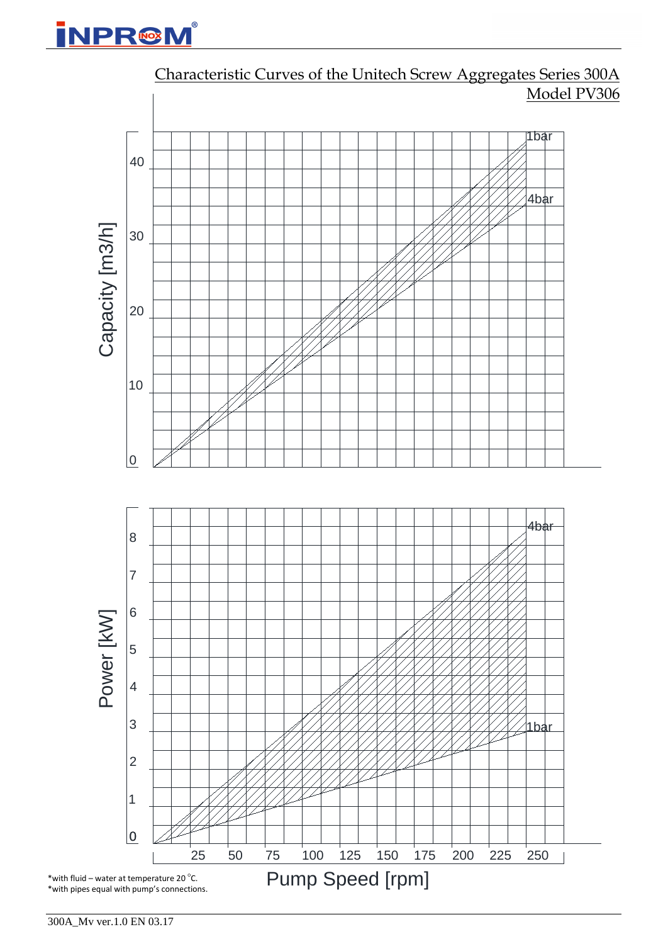# **INPR@M**

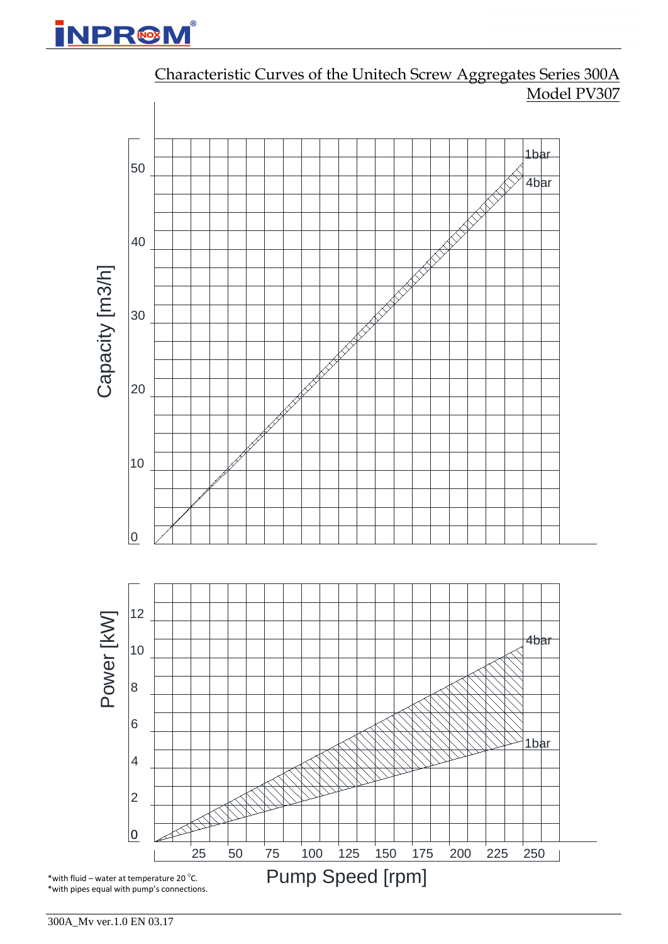



### Characteristic Curves of the Unitech Screw Aggregates Series 300A Model PV307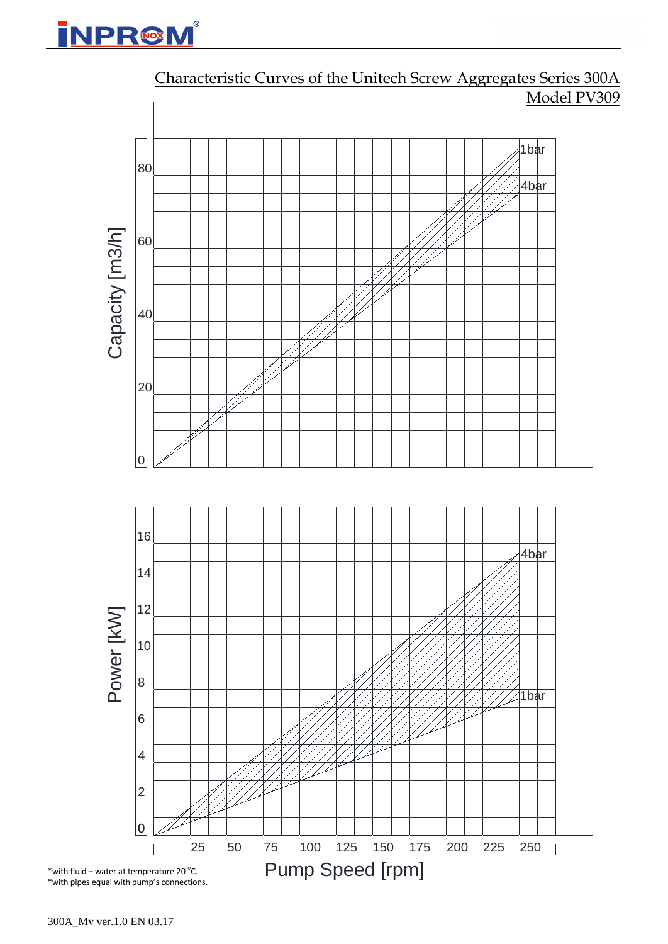## **INPR@M**



Characteristic Curves of the Unitech Screw Aggregates Series 300A Model PV309